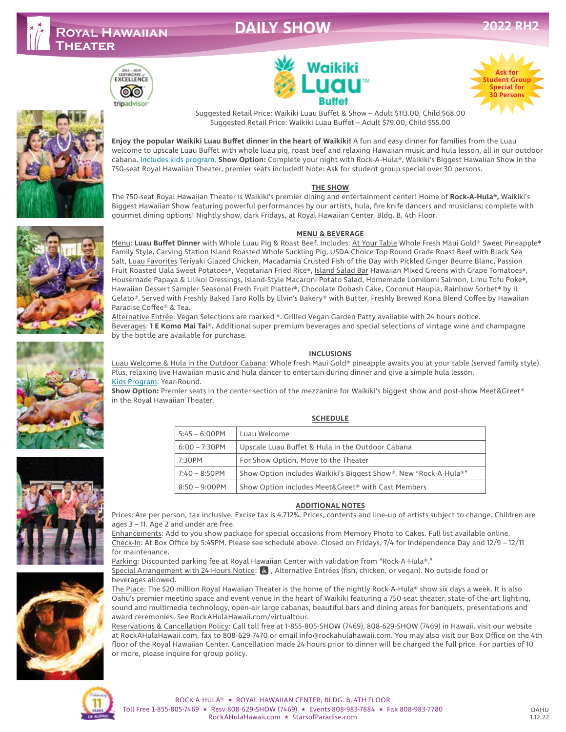# **DAILY SHOW**







Suggested Retail Price: Waikiki Luau Buffet & Show – Adult \$113.00, Child \$68.00 Suggested Retail Price: Waikiki Luau Buffet – Adult \$79.00, Child \$55.00

**Enjoy the popular Waikiki Luau Buffet dinner in the heart of Waikiki!** A fun and easy dinner for families from the Luau welcome to upscale Luau Buffet with whole luau pig, roast beef and relaxing Hawaiian music and hula lesson, all in our outdoor cabana. Includes kids program. **Show Option:** Complete your night with Rock-A-Hula®, Waikiki's Biggest Hawaiian Show in the 750-seat Royal Hawaiian Theater, premier seats included! Note: Ask for student group special over 30 persons.

#### **THE SHOW**

The 750-seat Royal Hawaiian Theater is Waikiki's premier dining and entertainment center! Home of **Rock-A-Hula®,** Waikiki's Biggest Hawaiian Show featuring powerful performances by our artists, hula, fire knife dancers and musicians; complete with gourmet dining options! Nightly show, dark Fridays, at Royal Hawaiian Center, Bldg. B, 4th Floor.

#### **MENU & BEVERAGE**

Menu: **Luau Buffet Dinner** with Whole Luau Pig & Roast Beef. Includes: At Your Table Whole Fresh Maui Gold® Sweet Pineapple❋ Family Style, Carving Station Island Roasted Whole Suckling Pig, USDA Choice Top Round Grade Roast Beef with Black Sea Salt, Luau Favorites Teriyaki Glazed Chicken, Macadamia Crusted Fish of the Day with Pickled Ginger Beurre Blanc, Passion Fruit Roasted Uala Sweet Potatoes❋, Vegetarian Fried Rice❋, Island Salad Bar Hawaiian Mixed Greens with Grape Tomatoes❋, Housemade Papaya & Lilikoi Dressings, Island-Style Macaroni Potato Salad, Homemade Lomilomi Salmon, Limu Tofu Poke❋, Hawaiian Dessert Sampler Seasonal Fresh Fruit Platter\*, Chocolate Dobash Cake, Coconut Haupia, Rainbow Sorbet\* by IL Gelato®. Served with Freshly Baked Taro Rolls by Elvin's Bakery® with Butter, Freshly Brewed Kona Blend Coffee by Hawaiian Paradise Coffee® & Tea.

Alternative Entrée: Vegan Selections are marked ❋. Grilled Vegan Garden Patty available with 24 hours notice. Beverages: **1 E Komo Mai Tai**®**.** Additional super premium beverages and special selections of vintage wine and champagne by the bottle are available for purchase.

#### **INCLUSIONS**

Luau Welcome & Hula in the Outdoor Cabana: Whole fresh Maui Gold® pineapple awaits you at your table (served family style). Plus, relaxing live Hawaiian music and hula dancer to entertain during dinner and give a simple hula lesson. Kids Program: Year-Round.

**Show Option:** Premier seats in the center section of the mezzanine for Waikiki's biggest show and post-show Meet&Greet® in the Royal Hawaiian Theater.

#### **SCHEDULE**

| $5:45 - 6:00$ PM | Luau Welcome                                                     |
|------------------|------------------------------------------------------------------|
| $6:00 - 7:30$ PM | Upscale Luau Buffet & Hula in the Outdoor Cabana                 |
| 7:30PM           | For Show Option, Move to the Theater                             |
| $7:40 - 8:50$ PM | Show Option includes Waikiki's Biggest Show®, New "Rock-A-Hula®" |
| $8:50 - 9:00$ PM | Show Option includes Meet&Greet <sup>®</sup> with Cast Members   |

#### **ADDITIONAL NOTES**

Prices: Are per person, tax inclusive. Excise tax is 4.712%. Prices, contents and line-up of artists subject to change. Children are ages 3 – 11. Age 2 and under are free.

Enhancements: Add to you show package for special occasions from Memory Photo to Cakes. Full list available online. Check-In: At Box Office by 5:45PM. Please see schedule above. Closed on Fridays, 7/4 for Independence Day and 12/9 – 12/11 for maintenance.

Parking: Discounted parking fee at Royal Hawaiian Center with validation from "Rock-A-Hula®."

Special Arrangement with 24 Hours Notice: & , Alternative Entrées (fish, chicken, or vegan). No outside food or beverages allowed.

The Place: The \$20 million Royal Hawaiian Theater is the home of the nightly Rock-A-Hula® show six days a week. It is also Oahu's premier meeting space and event venue in the heart of Waikiki featuring a 750-seat theater, state-of-the-art lighting, sound and multimedia technology, open-air large cabanas, beautiful bars and dining areas for banquets, presentations and award ceremonies. See RockAHulaHawaii.com/virtualtour.

Reservations & Cancellation Policy: Call toll free at 1-855-805-SHOW (7469), 808-629-SHOW (7469) in Hawaii, visit our website at RockAHulaHawaii.com, fax to 808-629-7470 or email info@rockahulahawaii.com. You may also visit our Box Office on the 4th floor of the Royal Hawaiian Center. Cancellation made 24 hours prior to dinner will be charged the full price. For parties of 10 or more, please inquire for group policy.